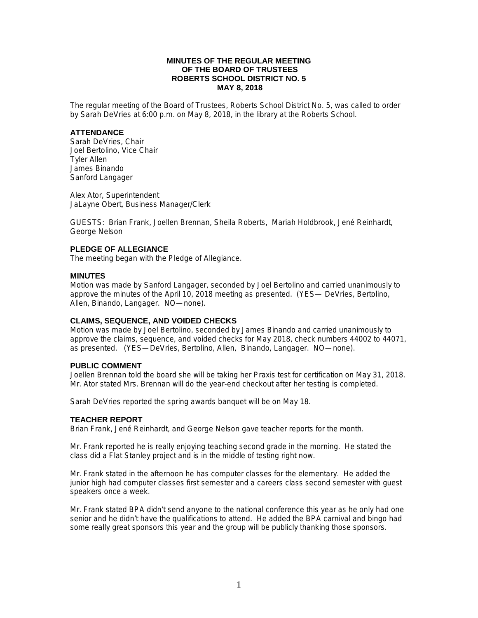# **MINUTES OF THE REGULAR MEETING OF THE BOARD OF TRUSTEES ROBERTS SCHOOL DISTRICT NO. 5 MAY 8, 2018**

The regular meeting of the Board of Trustees, Roberts School District No. 5, was called to order by Sarah DeVries at 6:00 p.m. on May 8, 2018, in the library at the Roberts School.

## **ATTENDANCE**

Sarah DeVries, Chair Joel Bertolino, Vice Chair Tyler Allen James Binando Sanford Langager

Alex Ator, Superintendent JaLayne Obert, Business Manager/Clerk

GUESTS: Brian Frank, Joellen Brennan, Sheila Roberts, Mariah Holdbrook, Jené Reinhardt, George Nelson

## **PLEDGE OF ALLEGIANCE**

The meeting began with the Pledge of Allegiance.

## **MINUTES**

Motion was made by Sanford Langager, seconded by Joel Bertolino and carried unanimously to approve the minutes of the April 10, 2018 meeting as presented. (YES— DeVries, Bertolino, Allen, Binando, Langager. NO—none).

# **CLAIMS, SEQUENCE, AND VOIDED CHECKS**

Motion was made by Joel Bertolino, seconded by James Binando and carried unanimously to approve the claims, sequence, and voided checks for May 2018, check numbers 44002 to 44071, as presented. (YES—DeVries, Bertolino, Allen, Binando, Langager. NO—none).

## **PUBLIC COMMENT**

Joellen Brennan told the board she will be taking her Praxis test for certification on May 31, 2018. Mr. Ator stated Mrs. Brennan will do the year-end checkout after her testing is completed.

Sarah DeVries reported the spring awards banquet will be on May 18.

#### **TEACHER REPORT**

Brian Frank, Jené Reinhardt, and George Nelson gave teacher reports for the month.

Mr. Frank reported he is really enjoying teaching second grade in the morning. He stated the class did a Flat Stanley project and is in the middle of testing right now.

Mr. Frank stated in the afternoon he has computer classes for the elementary. He added the junior high had computer classes first semester and a careers class second semester with guest speakers once a week.

Mr. Frank stated BPA didn't send anyone to the national conference this year as he only had one senior and he didn't have the qualifications to attend. He added the BPA carnival and bingo had some really great sponsors this year and the group will be publicly thanking those sponsors.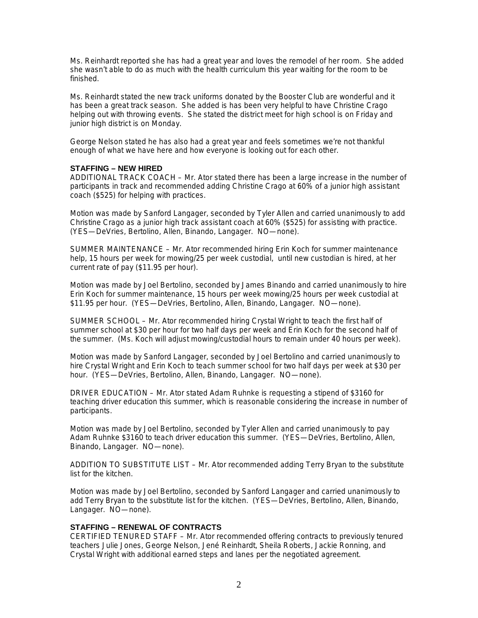Ms. Reinhardt reported she has had a great year and loves the remodel of her room. She added she wasn't able to do as much with the health curriculum this year waiting for the room to be finished.

Ms. Reinhardt stated the new track uniforms donated by the Booster Club are wonderful and it has been a great track season. She added is has been very helpful to have Christine Crago helping out with throwing events. She stated the district meet for high school is on Friday and junior high district is on Monday.

George Nelson stated he has also had a great year and feels sometimes we're not thankful enough of what we have here and how everyone is looking out for each other.

#### **STAFFING – NEW HIRED**

ADDITIONAL TRACK COACH – Mr. Ator stated there has been a large increase in the number of participants in track and recommended adding Christine Crago at 60% of a junior high assistant coach (\$525) for helping with practices.

Motion was made by Sanford Langager, seconded by Tyler Allen and carried unanimously to add Christine Crago as a junior high track assistant coach at 60% (\$525) for assisting with practice. (YES—DeVries, Bertolino, Allen, Binando, Langager. NO—none).

SUMMER MAINTENANCE – Mr. Ator recommended hiring Erin Koch for summer maintenance help, 15 hours per week for mowing/25 per week custodial, until new custodian is hired, at her current rate of pay (\$11.95 per hour).

Motion was made by Joel Bertolino, seconded by James Binando and carried unanimously to hire Erin Koch for summer maintenance, 15 hours per week mowing/25 hours per week custodial at \$11.95 per hour. (YES—DeVries, Bertolino, Allen, Binando, Langager. NO—none).

SUMMER SCHOOL – Mr. Ator recommended hiring Crystal Wright to teach the first half of summer school at \$30 per hour for two half days per week and Erin Koch for the second half of the summer. (Ms. Koch will adjust mowing/custodial hours to remain under 40 hours per week).

Motion was made by Sanford Langager, seconded by Joel Bertolino and carried unanimously to hire Crystal Wright and Erin Koch to teach summer school for two half days per week at \$30 per hour. (YES—DeVries, Bertolino, Allen, Binando, Langager. NO—none).

DRIVER EDUCATION – Mr. Ator stated Adam Ruhnke is requesting a stipend of \$3160 for teaching driver education this summer, which is reasonable considering the increase in number of participants.

Motion was made by Joel Bertolino, seconded by Tyler Allen and carried unanimously to pay Adam Ruhnke \$3160 to teach driver education this summer. (YES—DeVries, Bertolino, Allen, Binando, Langager. NO—none).

ADDITION TO SUBSTITUTE LIST – Mr. Ator recommended adding Terry Bryan to the substitute list for the kitchen.

Motion was made by Joel Bertolino, seconded by Sanford Langager and carried unanimously to add Terry Bryan to the substitute list for the kitchen. (YES—DeVries, Bertolino, Allen, Binando, Langager. NO—none).

# **STAFFING – RENEWAL OF CONTRACTS**

CERTIFIED TENURED STAFF – Mr. Ator recommended offering contracts to previously tenured teachers Julie Jones, George Nelson, Jené Reinhardt, Sheila Roberts, Jackie Ronning, and Crystal Wright with additional earned steps and lanes per the negotiated agreement.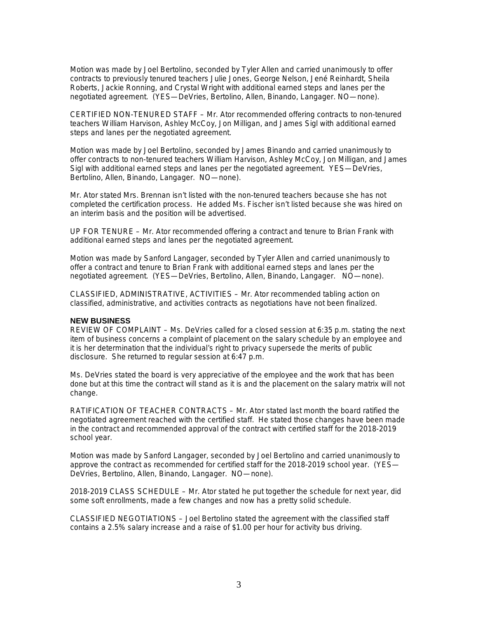Motion was made by Joel Bertolino, seconded by Tyler Allen and carried unanimously to offer contracts to previously tenured teachers Julie Jones, George Nelson, Jené Reinhardt, Sheila Roberts, Jackie Ronning, and Crystal Wright with additional earned steps and lanes per the negotiated agreement. (YES—DeVries, Bertolino, Allen, Binando, Langager. NO—none).

CERTIFIED NON-TENURED STAFF – Mr. Ator recommended offering contracts to non-tenured teachers William Harvison, Ashley McCoy, Jon Milligan, and James Sigl with additional earned steps and lanes per the negotiated agreement.

Motion was made by Joel Bertolino, seconded by James Binando and carried unanimously to offer contracts to non-tenured teachers William Harvison, Ashley McCoy, Jon Milligan, and James Sigl with additional earned steps and lanes per the negotiated agreement. YES—DeVries, Bertolino, Allen, Binando, Langager. NO—none).

Mr. Ator stated Mrs. Brennan isn't listed with the non-tenured teachers because she has not completed the certification process. He added Ms. Fischer isn't listed because she was hired on an interim basis and the position will be advertised.

UP FOR TENURE – Mr. Ator recommended offering a contract and tenure to Brian Frank with additional earned steps and lanes per the negotiated agreement.

Motion was made by Sanford Langager, seconded by Tyler Allen and carried unanimously to offer a contract and tenure to Brian Frank with additional earned steps and lanes per the negotiated agreement. (YES—DeVries, Bertolino, Allen, Binando, Langager. NO—none).

CLASSIFIED, ADMINISTRATIVE, ACTIVITIES – Mr. Ator recommended tabling action on classified, administrative, and activities contracts as negotiations have not been finalized.

#### **NEW BUSINESS**

REVIEW OF COMPLAINT – Ms. DeVries called for a closed session at 6:35 p.m. stating the next item of business concerns a complaint of placement on the salary schedule by an employee and it is her determination that the individual's right to privacy supersede the merits of public disclosure. She returned to regular session at 6:47 p.m.

Ms. DeVries stated the board is very appreciative of the employee and the work that has been done but at this time the contract will stand as it is and the placement on the salary matrix will not change.

RATIFICATION OF TEACHER CONTRACTS – Mr. Ator stated last month the board ratified the negotiated agreement reached with the certified staff. He stated those changes have been made in the contract and recommended approval of the contract with certified staff for the 2018-2019 school year.

Motion was made by Sanford Langager, seconded by Joel Bertolino and carried unanimously to approve the contract as recommended for certified staff for the 2018-2019 school year. (YES— DeVries, Bertolino, Allen, Binando, Langager. NO—none).

2018-2019 CLASS SCHEDULE – Mr. Ator stated he put together the schedule for next year, did some soft enrollments, made a few changes and now has a pretty solid schedule.

CLASSIFIED NEGOTIATIONS – Joel Bertolino stated the agreement with the classified staff contains a 2.5% salary increase and a raise of \$1.00 per hour for activity bus driving.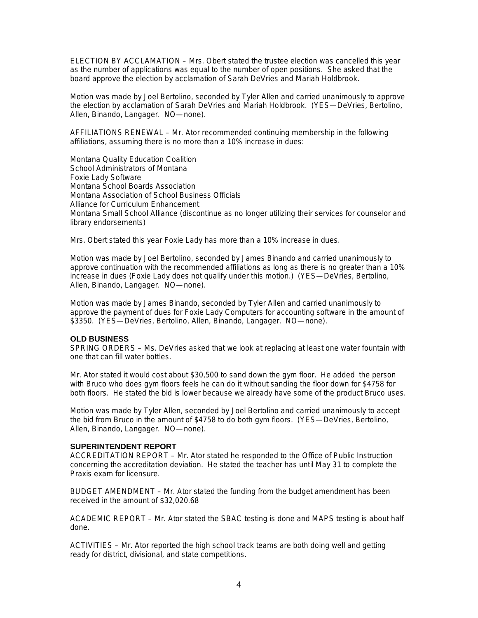ELECTION BY ACCLAMATION – Mrs. Obert stated the trustee election was cancelled this year as the number of applications was equal to the number of open positions. She asked that the board approve the election by acclamation of Sarah DeVries and Mariah Holdbrook.

Motion was made by Joel Bertolino, seconded by Tyler Allen and carried unanimously to approve the election by acclamation of Sarah DeVries and Mariah Holdbrook. (YES—DeVries, Bertolino, Allen, Binando, Langager. NO—none).

AFFILIATIONS RENEWAL – Mr. Ator recommended continuing membership in the following affiliations, assuming there is no more than a 10% increase in dues:

Montana Quality Education Coalition School Administrators of Montana Foxie Lady Software Montana School Boards Association Montana Association of School Business Officials Alliance for Curriculum Enhancement Montana Small School Alliance (discontinue as no longer utilizing their services for counselor and library endorsements)

Mrs. Obert stated this year Foxie Lady has more than a 10% increase in dues.

Motion was made by Joel Bertolino, seconded by James Binando and carried unanimously to approve continuation with the recommended affiliations as long as there is no greater than a 10% increase in dues (Foxie Lady does not qualify under this motion.) (YES—DeVries, Bertolino, Allen, Binando, Langager. NO—none).

Motion was made by James Binando, seconded by Tyler Allen and carried unanimously to approve the payment of dues for Foxie Lady Computers for accounting software in the amount of \$3350. (YES—DeVries, Bertolino, Allen, Binando, Langager. NO—none).

#### **OLD BUSINESS**

SPRING ORDERS – Ms. DeVries asked that we look at replacing at least one water fountain with one that can fill water bottles.

Mr. Ator stated it would cost about \$30,500 to sand down the gym floor. He added the person with Bruco who does gym floors feels he can do it without sanding the floor down for \$4758 for both floors. He stated the bid is lower because we already have some of the product Bruco uses.

Motion was made by Tyler Allen, seconded by Joel Bertolino and carried unanimously to accept the bid from Bruco in the amount of \$4758 to do both gym floors. (YES—DeVries, Bertolino, Allen, Binando, Langager. NO—none).

#### **SUPERINTENDENT REPORT**

ACCREDITATION REPORT – Mr. Ator stated he responded to the Office of Public Instruction concerning the accreditation deviation. He stated the teacher has until May 31 to complete the Praxis exam for licensure.

BUDGET AMENDMENT – Mr. Ator stated the funding from the budget amendment has been received in the amount of \$32,020.68

ACADEMIC REPORT – Mr. Ator stated the SBAC testing is done and MAPS testing is about half done.

ACTIVITIES – Mr. Ator reported the high school track teams are both doing well and getting ready for district, divisional, and state competitions.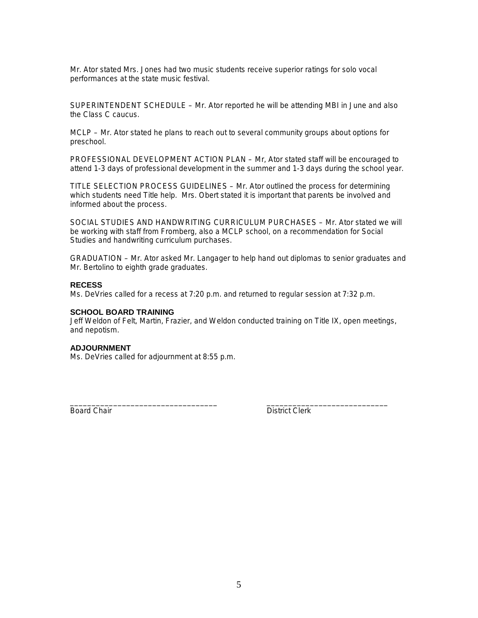Mr. Ator stated Mrs. Jones had two music students receive superior ratings for solo vocal performances at the state music festival.

SUPERINTENDENT SCHEDULE – Mr. Ator reported he will be attending MBI in June and also the Class C caucus.

MCLP – Mr. Ator stated he plans to reach out to several community groups about options for preschool.

PROFESSIONAL DEVELOPMENT ACTION PLAN – Mr, Ator stated staff will be encouraged to attend 1-3 days of professional development in the summer and 1-3 days during the school year.

TITLE SELECTION PROCESS GUIDELINES – Mr. Ator outlined the process for determining which students need Title help. Mrs. Obert stated it is important that parents be involved and informed about the process.

SOCIAL STUDIES AND HANDWRITING CURRICULUM PURCHASES – Mr. Ator stated we will be working with staff from Fromberg, also a MCLP school, on a recommendation for Social Studies and handwriting curriculum purchases.

GRADUATION – Mr. Ator asked Mr. Langager to help hand out diplomas to senior graduates and Mr. Bertolino to eighth grade graduates.

## **RECESS**

Ms. DeVries called for a recess at 7:20 p.m. and returned to regular session at 7:32 p.m.

#### **SCHOOL BOARD TRAINING**

Jeff Weldon of Felt, Martin, Frazier, and Weldon conducted training on Title IX, open meetings, and nepotism.

\_\_\_\_\_\_\_\_\_\_\_\_\_\_\_\_\_\_\_\_\_\_\_\_\_\_\_\_\_\_\_\_\_\_ \_\_\_\_\_\_\_\_\_\_\_\_\_\_\_\_\_\_\_\_\_\_\_\_\_\_\_\_

# **ADJOURNMENT**

Ms. DeVries called for adjournment at 8:55 p.m.

Board Chair **District Clerk**